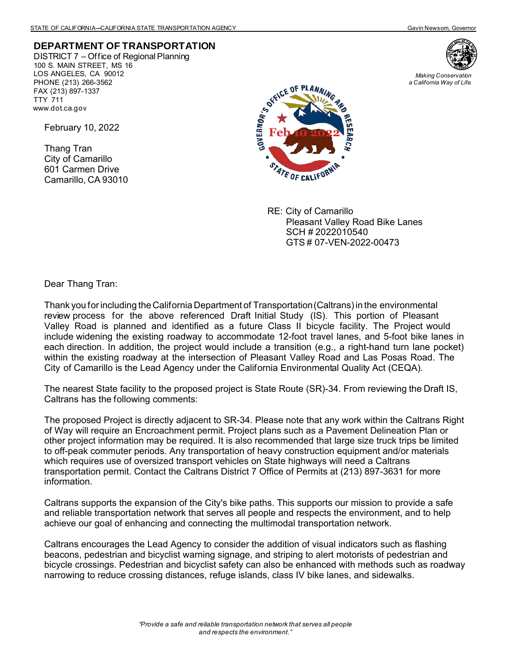## **DEPARTMENT OF TRANSPORTATION**

DISTRICT 7 – Office of Regional Planning 100 S. MAIN STREET, MS 16 LOS ANGELES, CA 90012 PHONE (213) 266-3562 FAX (213) 897-1337 TTY 711 www.dot.ca.gov

February 10, 2022

Thang Tran City of Camarillo 601 Carmen Drive Camarillo, CA 93010



*Making Conservation a California Way of Life.*



RE: City of Camarillo Pleasant Valley Road Bike Lanes SCH # 2022010540 GTS # 07-VEN-2022-00473

Dear Thang Tran:

Thank you for including the California Department of Transportation (Caltrans) in the environmental review process for the above referenced Draft Initial Study (IS). This portion of Pleasant Valley Road is planned and identified as a future Class II bicycle facility. The Project would include widening the existing roadway to accommodate 12-foot travel lanes, and 5-foot bike lanes in each direction. In addition, the project would include a transition (e.g., a right-hand turn lane pocket) within the existing roadway at the intersection of Pleasant Valley Road and Las Posas Road. The City of Camarillo is the Lead Agency under the California Environmental Quality Act (CEQA).

The nearest State facility to the proposed project is State Route (SR)-34. From reviewing the Draft IS, Caltrans has the following comments:

The proposed Project is directly adjacent to SR-34. Please note that any work within the Caltrans Right of Way will require an Encroachment permit. Project plans such as a Pavement Delineation Plan or other project information may be required. It is also recommended that large size truck trips be limited to off-peak commuter periods. Any transportation of heavy construction equipment and/or materials which requires use of oversized transport vehicles on State highways will need a Caltrans transportation permit. Contact the Caltrans District 7 Office of Permits at (213) 897-3631 for more information.

Caltrans supports the expansion of the City's bike paths. This supports our mission to provide a safe and reliable transportation network that serves all people and respects the environment, and to help achieve our goal of enhancing and connecting the multimodal transportation network.

Caltrans encourages the Lead Agency to consider the addition of visual indicators such as flashing beacons, pedestrian and bicyclist warning signage, and striping to alert motorists of pedestrian and bicycle crossings. Pedestrian and bicyclist safety can also be enhanced with methods such as roadway narrowing to reduce crossing distances, refuge islands, class IV bike lanes, and sidewalks.